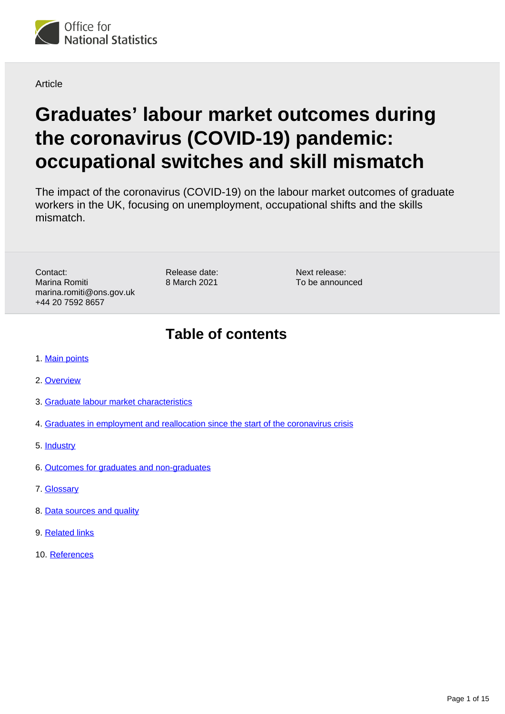

**Article** 

# **Graduates' labour market outcomes during the coronavirus (COVID-19) pandemic: occupational switches and skill mismatch**

The impact of the coronavirus (COVID-19) on the labour market outcomes of graduate workers in the UK, focusing on unemployment, occupational shifts and the skills mismatch.

Contact: Marina Romiti marina.romiti@ons.gov.uk +44 20 7592 8657

Release date: 8 March 2021

Next release: To be announced

# **Table of contents**

- 1. [Main points](#page-1-0)
- 2. [Overview](#page-1-1)
- 3. [Graduate labour market characteristics](#page-3-0)
- 4. [Graduates in employment and reallocation since the start of the coronavirus crisis](#page-5-0)
- 5. [Industry](#page-10-0)
- 6. [Outcomes for graduates and non-graduates](#page-12-0)
- 7. [Glossary](#page-12-1)
- 8. [Data sources and quality](#page-13-0)
- 9. [Related links](#page-13-1)
- 10. [References](#page-14-0)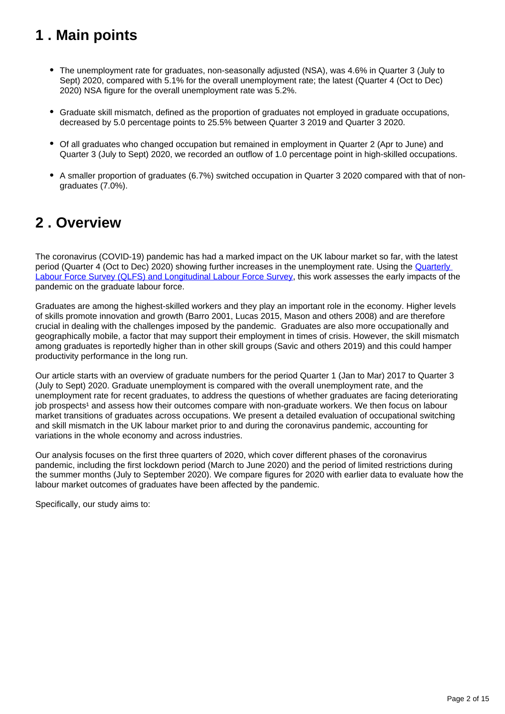# <span id="page-1-0"></span>**1 . Main points**

- The unemployment rate for graduates, non-seasonally adjusted (NSA), was 4.6% in Quarter 3 (July to Sept) 2020, compared with 5.1% for the overall unemployment rate; the latest (Quarter 4 (Oct to Dec) 2020) NSA figure for the overall unemployment rate was 5.2%.
- Graduate skill mismatch, defined as the proportion of graduates not employed in graduate occupations, decreased by 5.0 percentage points to 25.5% between Quarter 3 2019 and Quarter 3 2020.
- Of all graduates who changed occupation but remained in employment in Quarter 2 (Apr to June) and Quarter 3 (July to Sept) 2020, we recorded an outflow of 1.0 percentage point in high-skilled occupations.
- A smaller proportion of graduates (6.7%) switched occupation in Quarter 3 2020 compared with that of nongraduates (7.0%).

# <span id="page-1-1"></span>**2 . Overview**

The coronavirus (COVID-19) pandemic has had a marked impact on the UK labour market so far, with the latest period (Quarter 4 (Oct to Dec) 2020) showing further increases in the unemployment rate. Using the [Quarterly](https://www.ons.gov.uk/employmentandlabourmarket/peopleinwork/employmentandemployeetypes/methodologies/labourforcesurveyuserguidance#labour-force-survey-lfs-user-guides)  [Labour Force Survey \(QLFS\) and Longitudinal Labour Force Survey,](https://www.ons.gov.uk/employmentandlabourmarket/peopleinwork/employmentandemployeetypes/methodologies/labourforcesurveyuserguidance#labour-force-survey-lfs-user-guides) this work assesses the early impacts of the pandemic on the graduate labour force.

Graduates are among the highest-skilled workers and they play an important role in the economy. Higher levels of skills promote innovation and growth (Barro 2001, Lucas 2015, Mason and others 2008) and are therefore crucial in dealing with the challenges imposed by the pandemic. Graduates are also more occupationally and geographically mobile, a factor that may support their employment in times of crisis. However, the skill mismatch among graduates is reportedly higher than in other skill groups (Savic and others 2019) and this could hamper productivity performance in the long run.

Our article starts with an overview of graduate numbers for the period Quarter 1 (Jan to Mar) 2017 to Quarter 3 (July to Sept) 2020. Graduate unemployment is compared with the overall unemployment rate, and the unemployment rate for recent graduates, to address the questions of whether graduates are facing deteriorating job prospects<sup>1</sup> and assess how their outcomes compare with non-graduate workers. We then focus on labour market transitions of graduates across occupations. We present a detailed evaluation of occupational switching and skill mismatch in the UK labour market prior to and during the coronavirus pandemic, accounting for variations in the whole economy and across industries.

Our analysis focuses on the first three quarters of 2020, which cover different phases of the coronavirus pandemic, including the first lockdown period (March to June 2020) and the period of limited restrictions during the summer months (July to September 2020). We compare figures for 2020 with earlier data to evaluate how the labour market outcomes of graduates have been affected by the pandemic.

Specifically, our study aims to: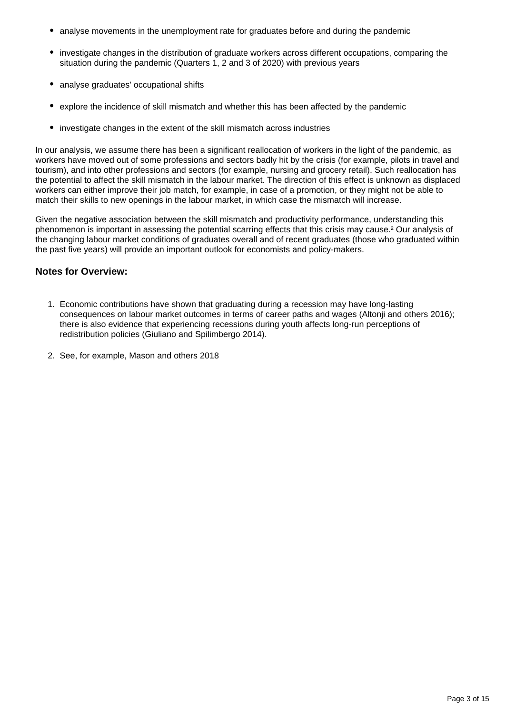- analyse movements in the unemployment rate for graduates before and during the pandemic
- investigate changes in the distribution of graduate workers across different occupations, comparing the situation during the pandemic (Quarters 1, 2 and 3 of 2020) with previous years
- analyse graduates' occupational shifts
- explore the incidence of skill mismatch and whether this has been affected by the pandemic
- investigate changes in the extent of the skill mismatch across industries

In our analysis, we assume there has been a significant reallocation of workers in the light of the pandemic, as workers have moved out of some professions and sectors badly hit by the crisis (for example, pilots in travel and tourism), and into other professions and sectors (for example, nursing and grocery retail). Such reallocation has the potential to affect the skill mismatch in the labour market. The direction of this effect is unknown as displaced workers can either improve their job match, for example, in case of a promotion, or they might not be able to match their skills to new openings in the labour market, in which case the mismatch will increase.

Given the negative association between the skill mismatch and productivity performance, understanding this phenomenon is important in assessing the potential scarring effects that this crisis may cause.² Our analysis of the changing labour market conditions of graduates overall and of recent graduates (those who graduated within the past five years) will provide an important outlook for economists and policy-makers.

## **Notes for Overview:**

- 1. Economic contributions have shown that graduating during a recession may have long-lasting consequences on labour market outcomes in terms of career paths and wages (Altonji and others 2016); there is also evidence that experiencing recessions during youth affects long-run perceptions of redistribution policies (Giuliano and Spilimbergo 2014).
- 2. See, for example, Mason and others 2018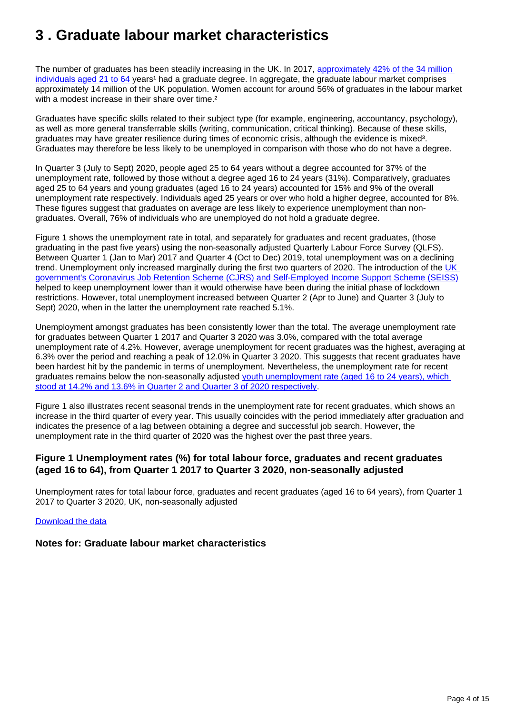# <span id="page-3-0"></span>**3 . Graduate labour market characteristics**

The number of graduates has been steadily increasing in the UK. In 2017, approximately 42% of the 34 million [individuals aged 21 to 64](https://www.ons.gov.uk/employmentandlabourmarket/peopleinwork/employmentandemployeetypes/articles/graduatesintheuklabourmarket/2017#steady-increase-in-the-number-of-graduates-in-the-uk-over-the-past-decade) years<sup>1</sup> had a graduate degree. In aggregate, the graduate labour market comprises approximately 14 million of the UK population. Women account for around 56% of graduates in the labour market with a modest increase in their share over time.<sup>2</sup>

Graduates have specific skills related to their subject type (for example, engineering, accountancy, psychology), as well as more general transferrable skills (writing, communication, critical thinking). Because of these skills, graduates may have greater resilience during times of economic crisis, although the evidence is mixed<sup>3</sup>. Graduates may therefore be less likely to be unemployed in comparison with those who do not have a degree.

In Quarter 3 (July to Sept) 2020, people aged 25 to 64 years without a degree accounted for 37% of the unemployment rate, followed by those without a degree aged 16 to 24 years (31%). Comparatively, graduates aged 25 to 64 years and young graduates (aged 16 to 24 years) accounted for 15% and 9% of the overall unemployment rate respectively. Individuals aged 25 years or over who hold a higher degree, accounted for 8%. These figures suggest that graduates on average are less likely to experience unemployment than nongraduates. Overall, 76% of individuals who are unemployed do not hold a graduate degree.

Figure 1 shows the unemployment rate in total, and separately for graduates and recent graduates, (those graduating in the past five years) using the non-seasonally adjusted Quarterly Labour Force Survey (QLFS). Between Quarter 1 (Jan to Mar) 2017 and Quarter 4 (Oct to Dec) 2019, total unemployment was on a declining trend. Unemployment only increased marginally during the first two quarters of 2020. The introduction of the UK [government's Coronavirus Job Retention Scheme \(CJRS\) and Self-Employed Income Support Scheme \(SEISS\)](https://www.gov.uk/government/collections/coronavirus-job-retention-scheme) helped to keep unemployment lower than it would otherwise have been during the initial phase of lockdown restrictions. However, total unemployment increased between Quarter 2 (Apr to June) and Quarter 3 (July to Sept) 2020, when in the latter the unemployment rate reached 5.1%.

Unemployment amongst graduates has been consistently lower than the total. The average unemployment rate for graduates between Quarter 1 2017 and Quarter 3 2020 was 3.0%, compared with the total average unemployment rate of 4.2%. However, average unemployment for recent graduates was the highest, averaging at 6.3% over the period and reaching a peak of 12.0% in Quarter 3 2020. This suggests that recent graduates have been hardest hit by the pandemic in terms of unemployment. Nevertheless, the unemployment rate for recent graduates remains below the non-seasonally adjusted youth unemployment rate (aged 16 to 24 years), which [stood at 14.2% and 13.6% in Quarter 2 and Quarter 3 of 2020 respectively.](https://www.ons.gov.uk/employmentandlabourmarket/peopleinwork/employmentandemployeetypes/datasets/educationalstatusandlabourmarketstatusforpeopleagedfrom16to24notseasonallyadjusteda06nsa)

Figure 1 also illustrates recent seasonal trends in the unemployment rate for recent graduates, which shows an increase in the third quarter of every year. This usually coincides with the period immediately after graduation and indicates the presence of a lag between obtaining a degree and successful job search. However, the unemployment rate in the third quarter of 2020 was the highest over the past three years.

## **Figure 1 Unemployment rates (%) for total labour force, graduates and recent graduates (aged 16 to 64), from Quarter 1 2017 to Quarter 3 2020, non-seasonally adjusted**

Unemployment rates for total labour force, graduates and recent graduates (aged 16 to 64 years), from Quarter 1 2017 to Quarter 3 2020, UK, non-seasonally adjusted

### [Download the data](https://www.ons.gov.uk/visualisations/dvc1162/line/datadownload.xlsx)

## **Notes for: Graduate labour market characteristics**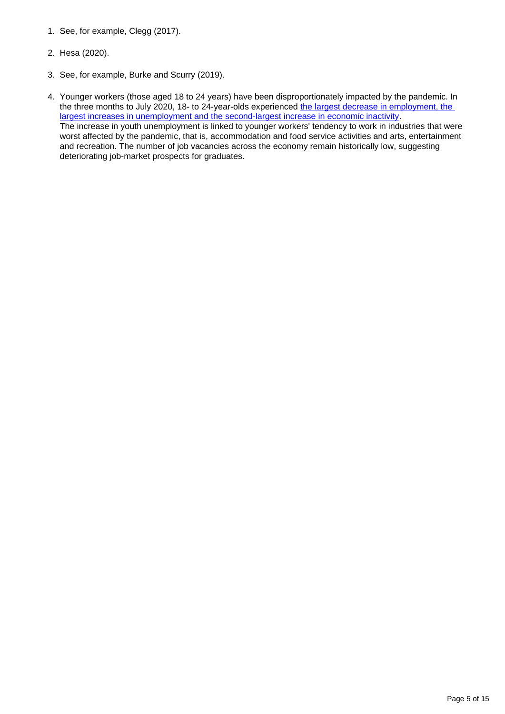- 1. See, for example, Clegg (2017).
- 2. Hesa (2020).
- 3. See, for example, Burke and Scurry (2019).
- 4. Younger workers (those aged 18 to 24 years) have been disproportionately impacted by the pandemic. In the three months to July 2020, 18- to 24-year-olds experienced the largest decrease in employment, the [largest increases in unemployment and the second-largest increase in economic inactivity.](https://www.ons.gov.uk/employmentandlabourmarket/peopleinwork/employmentandemployeetypes/bulletins/uklabourmarket/september2020) The increase in youth unemployment is linked to younger workers' tendency to work in industries that were worst affected by the pandemic, that is, accommodation and food service activities and arts, entertainment and recreation. The number of job vacancies across the economy remain historically low, suggesting deteriorating job-market prospects for graduates.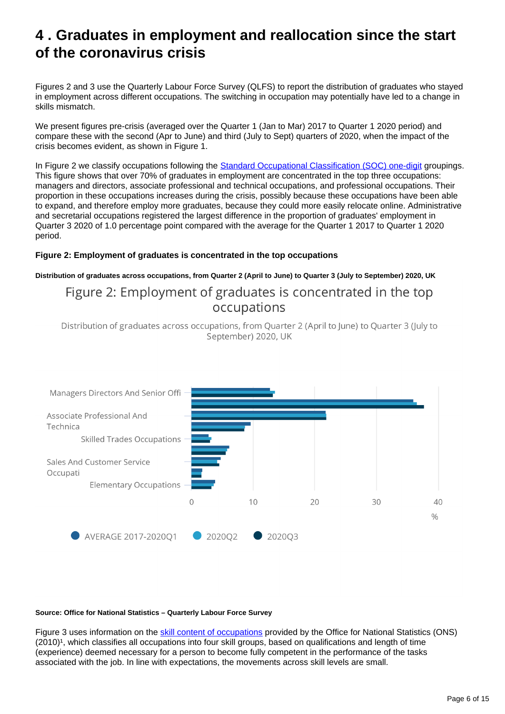# <span id="page-5-0"></span>**4 . Graduates in employment and reallocation since the start of the coronavirus crisis**

Figures 2 and 3 use the Quarterly Labour Force Survey (QLFS) to report the distribution of graduates who stayed in employment across different occupations. The switching in occupation may potentially have led to a change in skills mismatch.

We present figures pre-crisis (averaged over the Quarter 1 (Jan to Mar) 2017 to Quarter 1 2020 period) and compare these with the second (Apr to June) and third (July to Sept) quarters of 2020, when the impact of the crisis becomes evident, as shown in Figure 1.

In Figure 2 we classify occupations following the **[Standard Occupational Classification \(SOC\) one-digit](https://www.ons.gov.uk/methodology/classificationsandstandards/standardoccupationalclassificationsoc/soc2010/soc2010volume1structureanddescriptionsofunitgroups) groupings.** This figure shows that over 70% of graduates in employment are concentrated in the top three occupations: managers and directors, associate professional and technical occupations, and professional occupations. Their proportion in these occupations increases during the crisis, possibly because these occupations have been able to expand, and therefore employ more graduates, because they could more easily relocate online. Administrative and secretarial occupations registered the largest difference in the proportion of graduates' employment in Quarter 3 2020 of 1.0 percentage point compared with the average for the Quarter 1 2017 to Quarter 1 2020 period.

### **Figure 2: Employment of graduates is concentrated in the top occupations**

#### **Distribution of graduates across occupations, from Quarter 2 (April to June) to Quarter 3 (July to September) 2020, UK**

# Figure 2: Employment of graduates is concentrated in the top occupations

Distribution of graduates across occupations, from Quarter 2 (April to June) to Quarter 3 (July to September) 2020, UK



#### **Source: Office for National Statistics – Quarterly Labour Force Survey**

Figure 3 uses information on the [skill content of occupations](https://www.ons.gov.uk/methodology/classificationsandstandards/standardoccupationalclassificationsoc/soc2010/soc2010volume1structureanddescriptionsofunitgroups#objects-to-be-classified-and-criteria-of-classification) provided by the Office for National Statistics (ONS)  $(2010)^1$ , which classifies all occupations into four skill groups, based on qualifications and length of time (experience) deemed necessary for a person to become fully competent in the performance of the tasks associated with the job. In line with expectations, the movements across skill levels are small.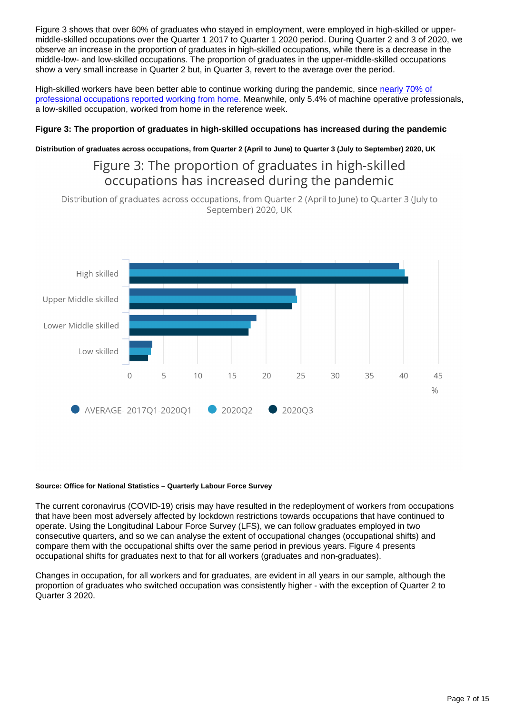Figure 3 shows that over 60% of graduates who stayed in employment, were employed in high-skilled or uppermiddle-skilled occupations over the Quarter 1 2017 to Quarter 1 2020 period. During Quarter 2 and 3 of 2020, we observe an increase in the proportion of graduates in high-skilled occupations, while there is a decrease in the middle-low- and low-skilled occupations. The proportion of graduates in the upper-middle-skilled occupations show a very small increase in Quarter 2 but, in Quarter 3, revert to the average over the period.

High-skilled workers have been better able to continue working during the pandemic, since nearly 70% of [professional occupations reported working from home.](https://www.ons.gov.uk/employmentandlabourmarket/peopleinwork/employmentandemployeetypes/bulletins/coronavirusandhomeworkingintheuk/april2020) Meanwhile, only 5.4% of machine operative professionals, a low-skilled occupation, worked from home in the reference week.

### **Figure 3: The proportion of graduates in high-skilled occupations has increased during the pandemic**

### **Distribution of graduates across occupations, from Quarter 2 (April to June) to Quarter 3 (July to September) 2020, UK**

## Figure 3: The proportion of graduates in high-skilled occupations has increased during the pandemic

Distribution of graduates across occupations, from Quarter 2 (April to June) to Quarter 3 (July to September) 2020, UK



#### **Source: Office for National Statistics – Quarterly Labour Force Survey**

The current coronavirus (COVID-19) crisis may have resulted in the redeployment of workers from occupations that have been most adversely affected by lockdown restrictions towards occupations that have continued to operate. Using the Longitudinal Labour Force Survey (LFS), we can follow graduates employed in two consecutive quarters, and so we can analyse the extent of occupational changes (occupational shifts) and compare them with the occupational shifts over the same period in previous years. Figure 4 presents occupational shifts for graduates next to that for all workers (graduates and non-graduates).

Changes in occupation, for all workers and for graduates, are evident in all years in our sample, although the proportion of graduates who switched occupation was consistently higher - with the exception of Quarter 2 to Quarter 3 2020.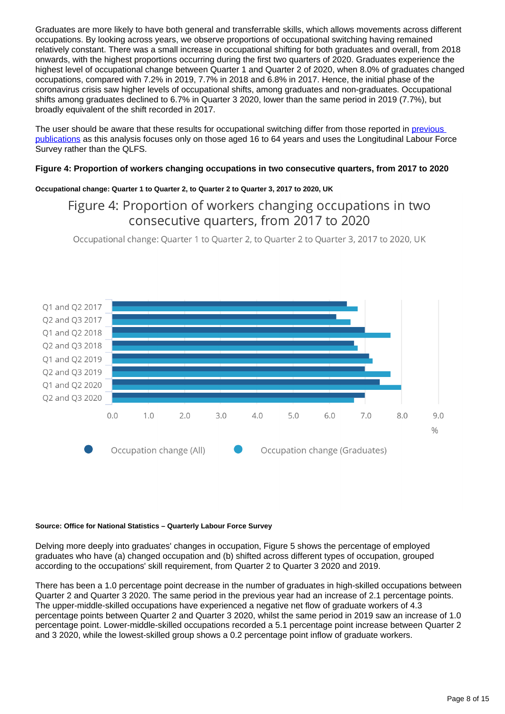Graduates are more likely to have both general and transferrable skills, which allows movements across different occupations. By looking across years, we observe proportions of occupational switching having remained relatively constant. There was a small increase in occupational shifting for both graduates and overall, from 2018 onwards, with the highest proportions occurring during the first two quarters of 2020. Graduates experience the highest level of occupational change between Quarter 1 and Quarter 2 of 2020, when 8.0% of graduates changed occupations, compared with 7.2% in 2019, 7.7% in 2018 and 6.8% in 2017. Hence, the initial phase of the coronavirus crisis saw higher levels of occupational shifts, among graduates and non-graduates. Occupational shifts among graduates declined to 6.7% in Quarter 3 2020, lower than the same period in 2019 (7.7%), but broadly equivalent of the shift recorded in 2017.

The user should be aware that these results for occupational switching differ from those reported in previous [publications](https://www.ons.gov.uk/employmentandlabourmarket/peopleinwork/employmentandemployeetypes/articles/coronavirusandoccupationalswitching/januarytojune2020) as this analysis focuses only on those aged 16 to 64 years and uses the Longitudinal Labour Force Survey rather than the QLFS.

### **Figure 4: Proportion of workers changing occupations in two consecutive quarters, from 2017 to 2020**

### **Occupational change: Quarter 1 to Quarter 2, to Quarter 2 to Quarter 3, 2017 to 2020, UK**

## Figure 4: Proportion of workers changing occupations in two consecutive quarters, from 2017 to 2020

Occupational change: Quarter 1 to Quarter 2, to Quarter 2 to Quarter 3, 2017 to 2020, UK



#### **Source: Office for National Statistics – Quarterly Labour Force Survey**

Delving more deeply into graduates' changes in occupation, Figure 5 shows the percentage of employed graduates who have (a) changed occupation and (b) shifted across different types of occupation, grouped according to the occupations' skill requirement, from Quarter 2 to Quarter 3 2020 and 2019.

There has been a 1.0 percentage point decrease in the number of graduates in high-skilled occupations between Quarter 2 and Quarter 3 2020. The same period in the previous year had an increase of 2.1 percentage points. The upper-middle-skilled occupations have experienced a negative net flow of graduate workers of 4.3 percentage points between Quarter 2 and Quarter 3 2020, whilst the same period in 2019 saw an increase of 1.0 percentage point. Lower-middle-skilled occupations recorded a 5.1 percentage point increase between Quarter 2 and 3 2020, while the lowest-skilled group shows a 0.2 percentage point inflow of graduate workers.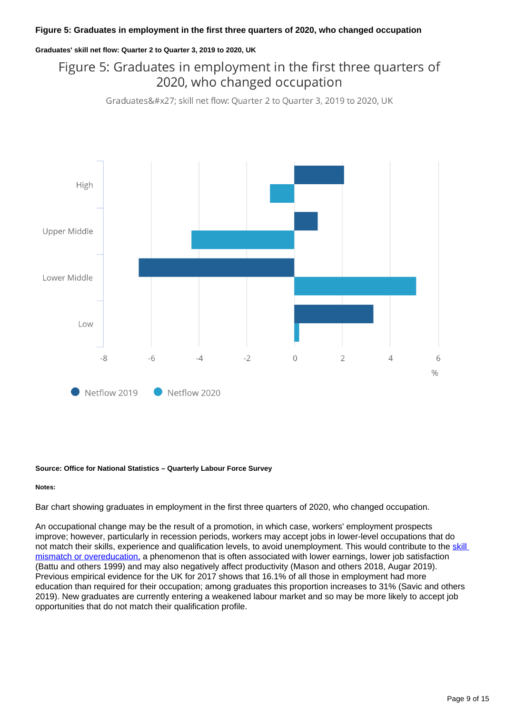### **Figure 5: Graduates in employment in the first three quarters of 2020, who changed occupation**

#### **Graduates' skill net flow: Quarter 2 to Quarter 3, 2019 to 2020, UK**

# Figure 5: Graduates in employment in the first three quarters of 2020, who changed occupation

Graduates' skill net flow: Quarter 2 to Quarter 3, 2019 to 2020, UK



#### **Source: Office for National Statistics – Quarterly Labour Force Survey**

#### **Notes:**

Bar chart showing graduates in employment in the first three quarters of 2020, who changed occupation.

An occupational change may be the result of a promotion, in which case, workers' employment prospects improve; however, particularly in recession periods, workers may accept jobs in lower-level occupations that do not match their skills, experience and qualification levels, to avoid unemployment. This would contribute to the skill [mismatch or overeducation,](https://www.ons.gov.uk/economy/nationalaccounts/uksectoraccounts/compendium/economicreview/april2019/overeducationandhourlywagesintheuklabourmarket2006to2017) a phenomenon that is often associated with lower earnings, lower job satisfaction (Battu and others 1999) and may also negatively affect productivity (Mason and others 2018, Augar 2019). Previous empirical evidence for the UK for 2017 shows that 16.1% of all those in employment had more education than required for their occupation; among graduates this proportion increases to 31% (Savic and others 2019). New graduates are currently entering a weakened labour market and so may be more likely to accept job opportunities that do not match their qualification profile.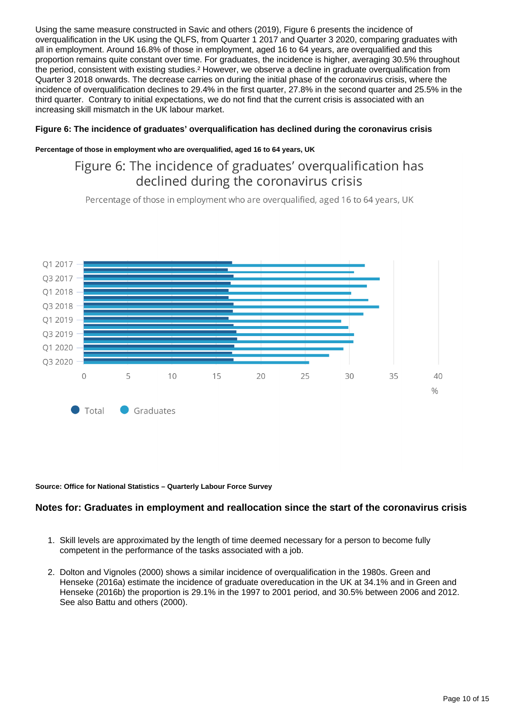Using the same measure constructed in Savic and others (2019), Figure 6 presents the incidence of overqualification in the UK using the QLFS, from Quarter 1 2017 and Quarter 3 2020, comparing graduates with all in employment. Around 16.8% of those in employment, aged 16 to 64 years, are overqualified and this proportion remains quite constant over time. For graduates, the incidence is higher, averaging 30.5% throughout the period, consistent with existing studies.² However, we observe a decline in graduate overqualification from Quarter 3 2018 onwards. The decrease carries on during the initial phase of the coronavirus crisis, where the incidence of overqualification declines to 29.4% in the first quarter, 27.8% in the second quarter and 25.5% in the third quarter. Contrary to initial expectations, we do not find that the current crisis is associated with an increasing skill mismatch in the UK labour market.

### **Figure 6: The incidence of graduates' overqualification has declined during the coronavirus crisis**

#### **Percentage of those in employment who are overqualified, aged 16 to 64 years, UK**

## Figure 6: The incidence of graduates' overqualification has declined during the coronavirus crisis

Percentage of those in employment who are overgualified, aged 16 to 64 years, UK



#### **Source: Office for National Statistics – Quarterly Labour Force Survey**

### **Notes for: Graduates in employment and reallocation since the start of the coronavirus crisis**

- 1. Skill levels are approximated by the length of time deemed necessary for a person to become fully competent in the performance of the tasks associated with a job.
- 2. Dolton and Vignoles (2000) shows a similar incidence of overqualification in the 1980s. Green and Henseke (2016a) estimate the incidence of graduate overeducation in the UK at 34.1% and in Green and Henseke (2016b) the proportion is 29.1% in the 1997 to 2001 period, and 30.5% between 2006 and 2012. See also Battu and others (2000).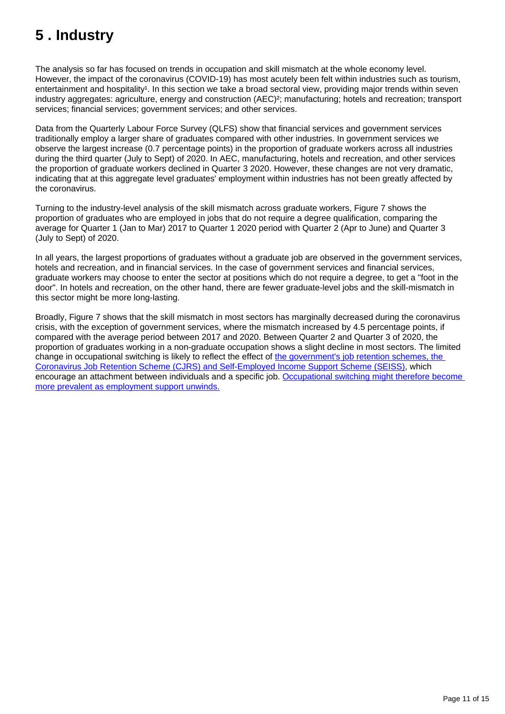# <span id="page-10-0"></span>**5 . Industry**

The analysis so far has focused on trends in occupation and skill mismatch at the whole economy level. However, the impact of the coronavirus (COVID-19) has most acutely been felt within industries such as tourism, entertainment and hospitality<sup>1</sup>. In this section we take a broad sectoral view, providing major trends within seven industry aggregates: agriculture, energy and construction (AEC)²; manufacturing; hotels and recreation; transport services; financial services; government services; and other services.

Data from the Quarterly Labour Force Survey (QLFS) show that financial services and government services traditionally employ a larger share of graduates compared with other industries. In government services we observe the largest increase (0.7 percentage points) in the proportion of graduate workers across all industries during the third quarter (July to Sept) of 2020. In AEC, manufacturing, hotels and recreation, and other services the proportion of graduate workers declined in Quarter 3 2020. However, these changes are not very dramatic, indicating that at this aggregate level graduates' employment within industries has not been greatly affected by the coronavirus.

Turning to the industry-level analysis of the skill mismatch across graduate workers, Figure 7 shows the proportion of graduates who are employed in jobs that do not require a degree qualification, comparing the average for Quarter 1 (Jan to Mar) 2017 to Quarter 1 2020 period with Quarter 2 (Apr to June) and Quarter 3 (July to Sept) of 2020.

In all years, the largest proportions of graduates without a graduate job are observed in the government services, hotels and recreation, and in financial services. In the case of government services and financial services, graduate workers may choose to enter the sector at positions which do not require a degree, to get a "foot in the door". In hotels and recreation, on the other hand, there are fewer graduate-level jobs and the skill-mismatch in this sector might be more long-lasting.

Broadly, Figure 7 shows that the skill mismatch in most sectors has marginally decreased during the coronavirus crisis, with the exception of government services, where the mismatch increased by 4.5 percentage points, if compared with the average period between 2017 and 2020. Between Quarter 2 and Quarter 3 of 2020, the proportion of graduates working in a non-graduate occupation shows a slight decline in most sectors. The limited change in occupational switching is likely to reflect the effect of [the government's job retention schemes, the](https://www.gov.uk/government/collections/coronavirus-job-retention-scheme)  [Coronavirus Job Retention Scheme \(CJRS\) and Self-Employed Income Support Scheme \(SEISS\),](https://www.gov.uk/government/collections/coronavirus-job-retention-scheme) which encourage an attachment between individuals and a specific job. [Occupational switching might therefore become](https://www.ons.gov.uk/employmentandlabourmarket/peopleinwork/employmentandemployeetypes/articles/coronavirusandoccupationalswitching/januarytojune2020)  [more prevalent as employment support unwinds.](https://www.ons.gov.uk/employmentandlabourmarket/peopleinwork/employmentandemployeetypes/articles/coronavirusandoccupationalswitching/januarytojune2020)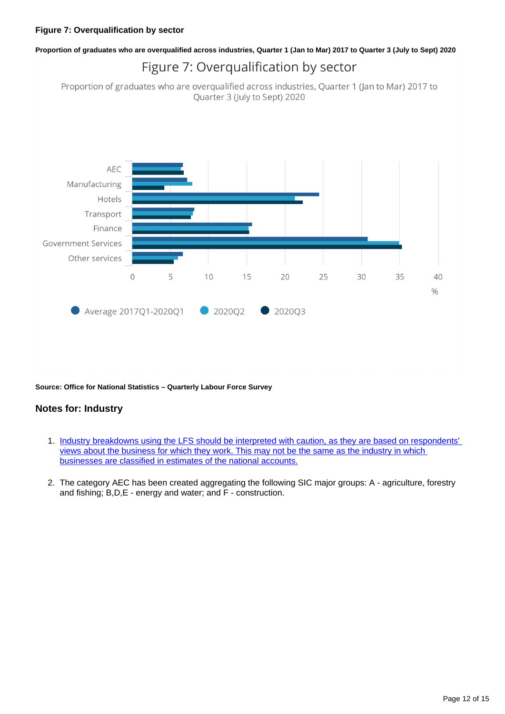## **Proportion of graduates who are overqualified across industries, Quarter 1 (Jan to Mar) 2017 to Quarter 3 (July to Sept) 2020** Figure 7: Overqualification by sector

Proportion of graduates who are overqualified across industries, Quarter 1 (Jan to Mar) 2017 to Quarter 3 (July to Sept) 2020



**Source: Office for National Statistics – Quarterly Labour Force Survey**

## **Notes for: Industry**

- 1. [Industry breakdowns using the LFS should be interpreted with caution, as they are based on respondents'](https://www.ons.gov.uk/businessindustryandtrade/tourismindustry/articles/coronavirusandtheimpactontheuktravelandtourismindustry/2021-02-15#impact-on-the-labour-market-in-travel-and-tourism-industries)  [views about the business for which they work. This may not be the same as the industry in which](https://www.ons.gov.uk/businessindustryandtrade/tourismindustry/articles/coronavirusandtheimpactontheuktravelandtourismindustry/2021-02-15#impact-on-the-labour-market-in-travel-and-tourism-industries)  [businesses are classified in estimates of the national accounts.](https://www.ons.gov.uk/businessindustryandtrade/tourismindustry/articles/coronavirusandtheimpactontheuktravelandtourismindustry/2021-02-15#impact-on-the-labour-market-in-travel-and-tourism-industries)
- 2. The category AEC has been created aggregating the following SIC major groups: A agriculture, forestry and fishing; B,D,E - energy and water; and F - construction.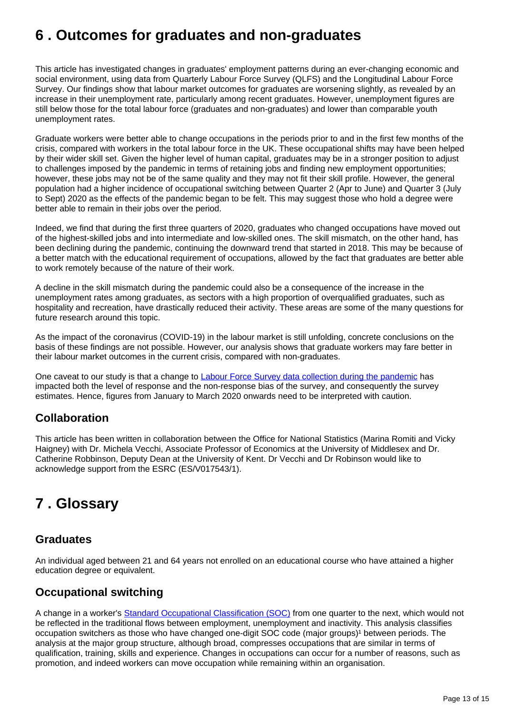# <span id="page-12-0"></span>**6 . Outcomes for graduates and non-graduates**

This article has investigated changes in graduates' employment patterns during an ever-changing economic and social environment, using data from Quarterly Labour Force Survey (QLFS) and the Longitudinal Labour Force Survey. Our findings show that labour market outcomes for graduates are worsening slightly, as revealed by an increase in their unemployment rate, particularly among recent graduates. However, unemployment figures are still below those for the total labour force (graduates and non-graduates) and lower than comparable youth unemployment rates.

Graduate workers were better able to change occupations in the periods prior to and in the first few months of the crisis, compared with workers in the total labour force in the UK. These occupational shifts may have been helped by their wider skill set. Given the higher level of human capital, graduates may be in a stronger position to adjust to challenges imposed by the pandemic in terms of retaining jobs and finding new employment opportunities; however, these jobs may not be of the same quality and they may not fit their skill profile. However, the general population had a higher incidence of occupational switching between Quarter 2 (Apr to June) and Quarter 3 (July to Sept) 2020 as the effects of the pandemic began to be felt. This may suggest those who hold a degree were better able to remain in their jobs over the period.

Indeed, we find that during the first three quarters of 2020, graduates who changed occupations have moved out of the highest-skilled jobs and into intermediate and low-skilled ones. The skill mismatch, on the other hand, has been declining during the pandemic, continuing the downward trend that started in 2018. This may be because of a better match with the educational requirement of occupations, allowed by the fact that graduates are better able to work remotely because of the nature of their work.

A decline in the skill mismatch during the pandemic could also be a consequence of the increase in the unemployment rates among graduates, as sectors with a high proportion of overqualified graduates, such as hospitality and recreation, have drastically reduced their activity. These areas are some of the many questions for future research around this topic.

As the impact of the coronavirus (COVID-19) in the labour market is still unfolding, concrete conclusions on the basis of these findings are not possible. However, our analysis shows that graduate workers may fare better in their labour market outcomes in the current crisis, compared with non-graduates.

One caveat to our study is that a change to [Labour Force Survey data collection during the pandemic](https://www.ons.gov.uk/employmentandlabourmarket/peopleinwork/employmentandemployeetypes/articles/coronavirusanditsimpactonthelabourforcesurvey/2020-10-13) has impacted both the level of response and the non-response bias of the survey, and consequently the survey estimates. Hence, figures from January to March 2020 onwards need to be interpreted with caution.

## **Collaboration**

This article has been written in collaboration between the Office for National Statistics (Marina Romiti and Vicky Haigney) with Dr. Michela Vecchi, Associate Professor of Economics at the University of Middlesex and Dr. Catherine Robbinson, Deputy Dean at the University of Kent. Dr Vecchi and Dr Robinson would like to acknowledge support from the ESRC (ES/V017543/1).

# <span id="page-12-1"></span>**7 . Glossary**

## **Graduates**

An individual aged between 21 and 64 years not enrolled on an educational course who have attained a higher education degree or equivalent.

## **Occupational switching**

A change in a worker's [Standard Occupational Classification \(SOC\)](https://www.ons.gov.uk/methodology/classificationsandstandards/standardoccupationalclassificationsoc/soc2010/soc2010volume1structureanddescriptionsofunitgroups) from one quarter to the next, which would not be reflected in the traditional flows between employment, unemployment and inactivity. This analysis classifies occupation switchers as those who have changed one-digit SOC code (major groups)<sup>1</sup> between periods. The analysis at the major group structure, although broad, compresses occupations that are similar in terms of qualification, training, skills and experience. Changes in occupations can occur for a number of reasons, such as promotion, and indeed workers can move occupation while remaining within an organisation.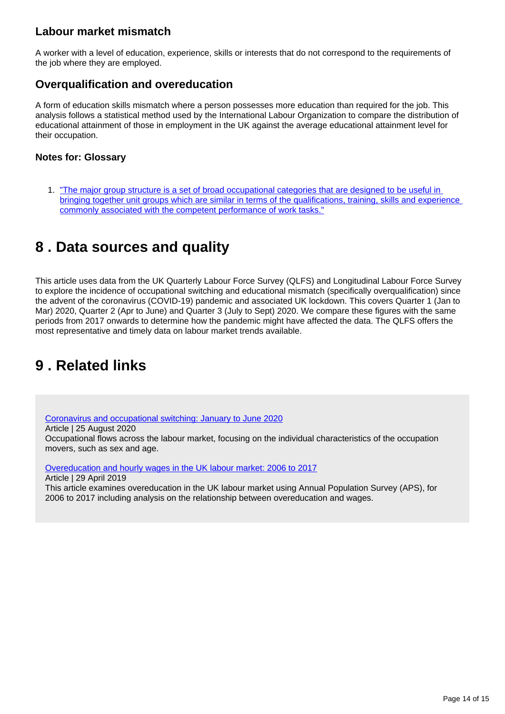## **Labour market mismatch**

A worker with a level of education, experience, skills or interests that do not correspond to the requirements of the job where they are employed.

## **Overqualification and overeducation**

A form of education skills mismatch where a person possesses more education than required for the job. This analysis follows a statistical method used by the International Labour Organization to compare the distribution of educational attainment of those in employment in the UK against the average educational attainment level for their occupation.

## **Notes for: Glossary**

1. "The major group structure is a set of broad occupational categories that are designed to be useful in bringing together unit groups which are similar in terms of the qualifications, training, skills and experience [commonly associated with the competent performance of work tasks."](https://www.ons.gov.uk/methodology/classificationsandstandards/standardoccupationalclassificationsoc/soc2010/soc2010volume1structureanddescriptionsofunitgroups#major-group-structure-of-the-classification-and-qualifications-skills-training-and-experience)

# <span id="page-13-0"></span>**8 . Data sources and quality**

This article uses data from the UK Quarterly Labour Force Survey (QLFS) and Longitudinal Labour Force Survey to explore the incidence of occupational switching and educational mismatch (specifically overqualification) since the advent of the coronavirus (COVID-19) pandemic and associated UK lockdown. This covers Quarter 1 (Jan to Mar) 2020, Quarter 2 (Apr to June) and Quarter 3 (July to Sept) 2020. We compare these figures with the same periods from 2017 onwards to determine how the pandemic might have affected the data. The QLFS offers the most representative and timely data on labour market trends available.

# <span id="page-13-1"></span>**9 . Related links**

[Coronavirus and occupational switching: January to June 2020](https://www.ons.gov.uk/employmentandlabourmarket/peopleinwork/employmentandemployeetypes/articles/coronavirusandoccupationalswitching/januarytojune2020) Article | 25 August 2020 Occupational flows across the labour market, focusing on the individual characteristics of the occupation movers, such as sex and age.

[Overeducation and hourly wages in the UK labour market: 2006 to 2017](https://www.ons.gov.uk/economy/nationalaccounts/uksectoraccounts/compendium/economicreview/april2019/overeducationandhourlywagesintheuklabourmarket2006to2017)

Article | 29 April 2019 This article examines overeducation in the UK labour market using Annual Population Survey (APS), for 2006 to 2017 including analysis on the relationship between overeducation and wages.